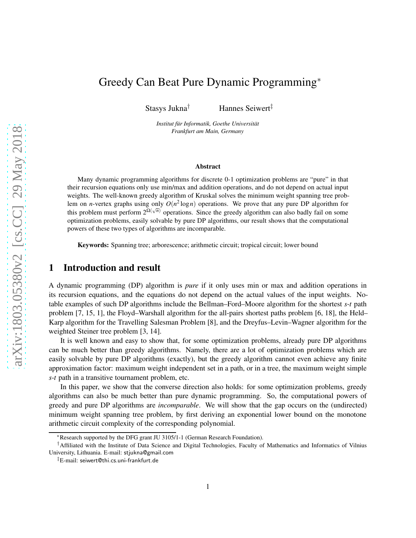# Greedy Can Beat Pure Dynamic Programming<sup>∗</sup>

Stasys Jukna† Hannes Seiwert‡

Institut für Informatik, Goethe Universität *Frankfurt am Main, Germany*

#### Abstract

Many dynamic programming algorithms for discrete 0-1 optimization problems are "pure" in that their recursion equations only use min/max and addition operations, and do not depend on actual input weights. The well-known greedy algorithm of Kruskal solves the minimum weight spanning tree problem on *n*-vertex graphs using only  $O(n^2 \log n)$  operations. We prove that any pure DP algorithm for this problem must perform  $2^{\Omega(\sqrt{n})}$  operations. Since the greedy algorithm can also badly fail on some optimization problems, easily solvable by pure DP algorithms, our result shows that the computational powers of these two types of algorithms are incomparable.

Keywords: Spanning tree; arborescence; arithmetic circuit; tropical circuit; lower bound

### 1 Introduction and result

A dynamic programming (DP) algorithm is *pure* if it only uses min or max and addition operations in its recursion equations, and the equations do not depend on the actual values of the input weights. Notable examples of such DP algorithms include the Bellman–Ford–Moore algorithm for the shortest *s*-*t* path problem [7, 15, 1], the Floyd–Warshall algorithm for the all-pairs shortest paths problem [6, 18], the Held– Karp algorithm for the Travelling Salesman Problem [8], and the Dreyfus–Levin–Wagner algorithm for the weighted Steiner tree problem [3, 14].

It is well known and easy to show that, for some optimization problems, already pure DP algorithms can be much better than greedy algorithms. Namely, there are a lot of optimization problems which are easily solvable by pure DP algorithms (exactly), but the greedy algorithm cannot even achieve any finite approximation factor: maximum weight independent set in a path, or in a tree, the maximum weight simple *s*-*t* path in a transitive tournament problem, etc.

In this paper, we show that the converse direction also holds: for some optimization problems, greedy algorithms can also be much better than pure dynamic programming. So, the computational powers of greedy and pure DP algorithms are *incomparable*. We will show that the gap occurs on the (undirected) minimum weight spanning tree problem, by first deriving an exponential lower bound on the monotone arithmetic circuit complexity of the corresponding polynomial.

<sup>∗</sup>Research supported by the DFG grant JU 3105/1-1 (German Research Foundation).

<sup>†</sup>Affiliated with the Institute of Data Science and Digital Technologies, Faculty of Mathematics and Informatics of Vilnius University, Lithuania. E-mail: stjukna@gmail.com

<sup>‡</sup>E-mail: seiwert@thi.cs.uni-frankfurt.de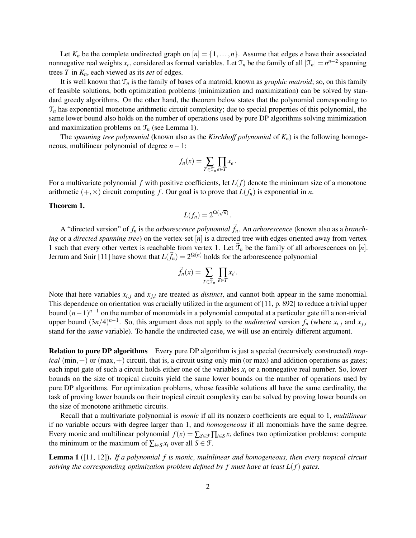Let  $K_n$  be the complete undirected graph on  $[n] = \{1, \ldots, n\}$ . Assume that edges *e* have their associated nonnegative real weights  $x_e$ , considered as formal variables. Let  $\mathcal{T}_n$  be the family of all  $|\mathcal{T}_n| = n^{n-2}$  spanning trees *T* in *Kn*, each viewed as its *set* of edges.

It is well known that  $\mathcal{T}_n$  is the family of bases of a matroid, known as *graphic matroid*; so, on this family of feasible solutions, both optimization problems (minimization and maximization) can be solved by standard greedy algorithms. On the other hand, the theorem below states that the polynomial corresponding to  $\mathcal{T}_n$  has exponential monotone arithmetic circuit complexity; due to special properties of this polynomial, the same lower bound also holds on the number of operations used by pure DP algorithms solving minimization and maximization problems on  $\mathcal{T}_n$  (see Lemma 1).

The *spanning tree polynomial* (known also as the *Kirchhoff polynomial* of *Kn*) is the following homogeneous, multilinear polynomial of degree *n*−1:

$$
f_n(x) = \sum_{T \in \mathcal{T}_n} \prod_{e \in T} x_e \, .
$$

For a multivariate polynomial *f* with positive coefficients, let  $L(f)$  denote the minimum size of a monotone arithmetic  $(+, \times)$  circuit computing *f*. Our goal is to prove that  $L(f_n)$  is exponential in *n*.

### Theorem 1.

$$
L(f_n) = 2^{\Omega(\sqrt{n})}.
$$

A "directed version" of  $f_n$  is the *arborescence polynomial*  $\vec{f}_n$ . An *arborescence* (known also as a *branching* or a *directed spanning tree*) on the vertex-set [*n*] is a directed tree with edges oriented away from vertex 1 such that every other vertex is reachable from vertex 1. Let  $\vec{\tau}_n$  be the family of all arborescences on [*n*]. Jerrum and Snir [11] have shown that  $L(\vec{f}_n) = 2^{\Omega(n)}$  holds for the arborescence polynomial

$$
\vec{f}_n(x) = \sum_{T \in \vec{\mathcal{T}}_n} \prod_{\vec{e} \in T} x_{\vec{e}}.
$$

Note that here variables  $x_{i,j}$  and  $x_{j,i}$  are treated as *distinct*, and cannot both appear in the same monomial. This dependence on orientation was crucially utilized in the argument of [11, p. 892] to reduce a trivial upper bound  $(n-1)^{n-1}$  on the number of monomials in a polynomial computed at a particular gate till a non-trivial upper bound  $(3n/4)^{n-1}$ . So, this argument does not apply to the *undirected* version  $f_n$  (where  $x_{i,j}$  and  $x_{j,i}$ stand for the *same* variable). To handle the undirected case, we will use an entirely different argument.

Relation to pure DP algorithms Every pure DP algorithm is just a special (recursively constructed) *tropical* (min,  $+$ ) or (max,  $+$ ) circuit, that is, a circuit using only min (or max) and addition operations as gates; each input gate of such a circuit holds either one of the variables  $x_i$  or a nonnegative real number. So, lower bounds on the size of tropical circuits yield the same lower bounds on the number of operations used by pure DP algorithms. For optimization problems, whose feasible solutions all have the same cardinality, the task of proving lower bounds on their tropical circuit complexity can be solved by proving lower bounds on the size of monotone arithmetic circuits.

Recall that a multivariate polynomial is *monic* if all its nonzero coefficients are equal to 1, *multilinear* if no variable occurs with degree larger than 1, and *homogeneous* if all monomials have the same degree. Every monic and multilinear polynomial  $f(x) = \sum_{S \in \mathcal{F}} \prod_{i \in S} x_i$  defines two optimization problems: compute the minimum or the maximum of  $\sum_{i \in S} x_i$  over all  $S \in \mathcal{F}$ .

Lemma 1 ([11, 12]). *If a polynomial f is monic, multilinear and homogeneous, then every tropical circuit solving the corresponding optimization problem defined by f must have at least L*(*f*) *gates.*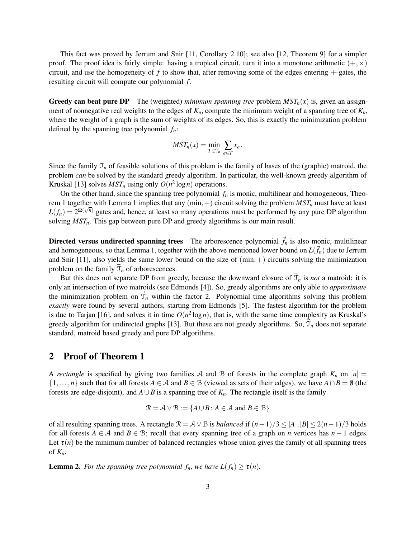This fact was proved by Jerrum and Snir [11, Corollary 2.10]; see also [12, Theorem 9] for a simpler proof. The proof idea is fairly simple: having a tropical circuit, turn it into a monotone arithmetic  $(+, \times)$ circuit, and use the homogeneity of *f* to show that, after removing some of the edges entering +-gates, the resulting circuit will compute our polynomial *f* .

**Greedy can beat pure DP** The (weighted) *minimum spanning tree* problem  $MST_n(x)$  is, given an assignment of nonnegative real weights to the edges of *Kn*, compute the minimum weight of a spanning tree of *Kn*, where the weight of a graph is the sum of weights of its edges. So, this is exactly the minimization problem defined by the spanning tree polynomial *fn*:

$$
MST_n(x)=\min_{T\in\mathfrak{T}_n}\sum_{e\in T}x_e.
$$

Since the family  $\mathcal{T}_n$  of feasible solutions of this problem is the family of bases of the (graphic) matroid, the problem *can* be solved by the standard greedy algorithm. In particular, the well-known greedy algorithm of Kruskal [13] solves  $MST_n$  using only  $O(n^2 \log n)$  operations.

On the other hand, since the spanning tree polynomial  $f_n$  is monic, multilinear and homogeneous, Theorem 1 together with Lemma 1 implies that any  $(min,+)$  circuit solving the problem  $MST_n$  must have at least  $L(f_n) = 2^{\Omega(\sqrt{n})}$  gates and, hence, at least so many operations must be performed by any pure DP algorithm solving *MSTn*. This gap between pure DP and greedy algorithms is our main result.

Directed versus undirected spanning trees The arborescence polynomial  $\vec{f}_n$  is also monic, multilinear and homogeneous, so that Lemma 1, together with the above mentioned lower bound on  $L(\vec{f}_n)$  due to Jerrum and Snir [11], also yields the same lower bound on the size of  $(min,+)$  circuits solving the minimization problem on the family  $\vec{\mathcal{T}}_n$  of arborescences.

But this does not separate DP from greedy, because the downward closure of  $\vec{\tau}_n$  is *not* a matroid: it is only an intersection of two matroids (see Edmonds [4]). So, greedy algorithms are only able to *approximate* the minimization problem on  $\mathcal{T}_n$  within the factor 2. Polynomial time algorithms solving this problem *exactly* were found by several authors, starting from Edmonds [5]. The fastest algorithm for the problem is due to Tarjan [16], and solves it in time  $O(n^2 \log n)$ , that is, with the same time complexity as Kruskal's greedy algorithm for undirected graphs [13]. But these are not greedy algorithms. So,  $\mathcal{T}_n$  does not separate standard, matroid based greedy and pure DP algorithms.

### 2 Proof of Theorem 1

A *rectangle* is specified by giving two families A and B of forests in the complete graph  $K_n$  on  $[n]$  =  $\{1,\ldots,n\}$  such that for all forests  $A \in \mathcal{A}$  and  $B \in \mathcal{B}$  (viewed as sets of their edges), we have  $A \cap B = \emptyset$  (the forests are edge-disjoint), and  $A \cup B$  is a spanning tree of  $K_n$ . The rectangle itself is the family

$$
\mathcal{R} = \mathcal{A} \vee \mathcal{B} := \{ A \cup B \colon A \in \mathcal{A} \text{ and } B \in \mathcal{B} \}
$$

of all resulting spanning trees. A rectangle  $\mathcal{R} = \mathcal{A} \vee \mathcal{B}$  is *balanced* if  $(n-1)/3 \leq |A|, |B| \leq 2(n-1)/3$  holds for all forests  $A \in \mathcal{A}$  and  $B \in \mathcal{B}$ ; recall that every spanning tree of a graph on *n* vertices has  $n - 1$  edges. Let  $\tau(n)$  be the minimum number of balanced rectangles whose union gives the family of all spanning trees of  $K_n$ .

**Lemma 2.** *For the spanning tree polynomial*  $f_n$ *, we have*  $L(f_n) \ge \tau(n)$ *.*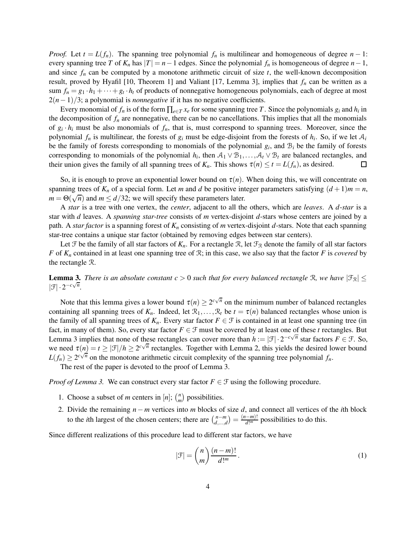*Proof.* Let  $t = L(f_n)$ . The spanning tree polynomial  $f_n$  is multilinear and homogeneous of degree  $n - 1$ : every spanning tree *T* of  $K_n$  has  $|T| = n - 1$  edges. Since the polynomial  $f_n$  is homogeneous of degree  $n - 1$ , and since  $f_n$  can be computed by a monotone arithmetic circuit of size  $t$ , the well-known decomposition result, proved by Hyafil [10, Theorem 1] and Valiant [17, Lemma 3], implies that *f<sup>n</sup>* can be written as a sum  $f_n = g_1 \cdot h_1 + \dots + g_t \cdot h_t$  of products of nonnegative homogeneous polynomials, each of degree at most 2(*n*−1)/3; a polynomial is *nonnegative* if it has no negative coefficients.

Every monomial of  $f_n$  is of the form  $\prod_{e \in T} x_e$  for some spanning tree *T*. Since the polynomials  $g_i$  and  $h_i$  in the decomposition of  $f<sub>n</sub>$  are nonnegative, there can be no cancellations. This implies that all the monomials of  $g_i \cdot h_i$  must be also monomials of  $f_n$ , that is, must correspond to spanning trees. Moreover, since the polynomial  $f_n$  is multilinear, the forests of  $g_i$  must be edge-disjoint from the forests of  $h_i$ . So, if we let  $A_i$ be the family of forests corresponding to monomials of the polynomial  $g_i$ , and  $B_i$  be the family of forests corresponding to monomials of the polynomial  $h_i$ , then  $A_1 \vee B_1, \ldots, A_t \vee B_t$  are balanced rectangles, and their union gives the family of all spanning trees of  $K_n$ . This shows  $\tau(n) \le t = L(f_n)$ , as desired.

So, it is enough to prove an exponential lower bound on  $\tau(n)$ . When doing this, we will concentrate on spanning trees of  $K_n$  of a special form. Let *m* and *d* be positive integer parameters satisfying  $(d+1)m = n$ ,  $\overline{m} = \Theta(\sqrt{n})$  and  $m \le d/32$ ; we will specify these parameters later.

A *star* is a tree with one vertex, the *center*, adjacent to all the others, which are *leaves*. A *d*-*star* is a star with *d* leaves. A *spanning star-tree* consists of *m* vertex-disjoint *d*-stars whose centers are joined by a path. A *star factor* is a spanning forest of *K<sup>n</sup>* consisting of *m* vertex-disjoint *d*-stars. Note that each spanning star-tree contains a unique star factor (obtained by removing edges between star centers).

Let F be the family of all star factors of  $K_n$ . For a rectangle R, let  $\mathcal{F}_R$  denote the family of all star factors *F* of *K<sup>n</sup>* contained in at least one spanning tree of R; in this case, we also say that the factor *F* is *covered* by the rectangle R.

**Lemma 3.** *There is an absolute constant c* > 0 *such that for every balanced rectangle* R, we have  $|\mathcal{F}_R|$   $\leq$  $|\mathcal{F}| \cdot 2^{-c\sqrt{n}}.$ 

Note that this lemma gives a lower bound  $\tau(n) \ge 2^{c\sqrt{n}}$  on the minimum number of balanced rectangles containing all spanning trees of  $K_n$ . Indeed, let  $\mathcal{R}_1,\ldots,\mathcal{R}_t$  be  $t = \tau(n)$  balanced rectangles whose union is the family of all spanning trees of  $K_n$ . Every star factor  $F \in \mathcal{F}$  is contained in at least one spanning tree (in fact, in many of them). So, every star factor  $F \in \mathcal{F}$  must be covered by at least one of these *t* rectangles. But Lemma 3 implies that none of these rectangles can cover more than  $h := |\mathcal{F}| \cdot 2^{-c\sqrt{n}}$  star factors  $F \in \mathcal{F}$ . So, we need  $\tau(n) = t \ge |\mathcal{F}|/h \ge 2^{c\sqrt{n}}$  rectangles. Together with Lemma 2, this yields the desired lower bound  $L(f_n) \geq 2^{c\sqrt{n}}$  on the monotone arithmetic circuit complexity of the spanning tree polynomial  $f_n$ .

The rest of the paper is devoted to the proof of Lemma 3.

*Proof of Lemma 3.* We can construct every star factor  $F \in \mathcal{F}$  using the following procedure.

- 1. Choose a subset of *m* centers in  $[n]$ ;  $\binom{n}{m}$ *m* possibilities.
- 2. Divide the remaining *n*− *m* vertices into *m* blocks of size *d*, and connect all vertices of the *i*th block to the *i*th largest of the chosen centers; there are  $\binom{n-m}{d,\dots,d} = \frac{(n-m)!}{d!^m}$  possibilities to do this.

Since different realizations of this procedure lead to different star factors, we have

$$
|\mathcal{F}| = \binom{n}{m} \frac{(n-m)!}{d!^m}.
$$
 (1)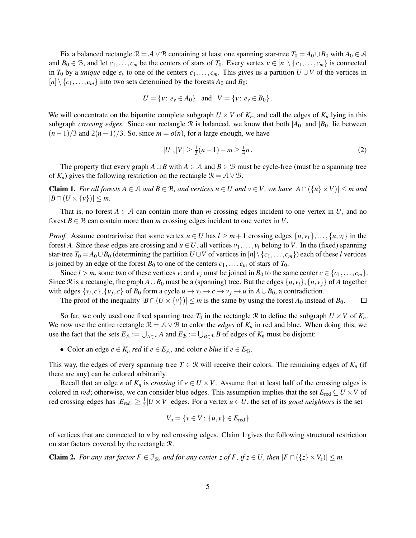Fix a balanced rectangle  $\mathcal{R} = \mathcal{A} \vee \mathcal{B}$  containing at least one spanning star-tree  $T_0 = A_0 \cup B_0$  with  $A_0 \in \mathcal{A}$ and  $B_0 \in \mathcal{B}$ , and let  $c_1, \ldots, c_m$  be the centers of stars of  $T_0$ . Every vertex  $v \in [n] \setminus \{c_1, \ldots, c_m\}$  is connected in  $T_0$  by a *unique* edge  $e_v$  to one of the centers  $c_1, \ldots, c_m$ . This gives us a partition  $U \cup V$  of the vertices in  $[n] \setminus \{c_1, \ldots, c_m\}$  into two sets determined by the forests  $A_0$  and  $B_0$ :

$$
U = \{v: e_v \in A_0\} \text{ and } V = \{v: e_v \in B_0\}.
$$

We will concentrate on the bipartite complete subgraph  $U \times V$  of  $K_n$ , and call the edges of  $K_n$  lying in this subgraph *crossing edges*. Since our rectangle R is balanced, we know that both  $|A_0|$  and  $|B_0|$  lie between  $(n-1)/3$  and  $2(n-1)/3$ . So, since  $m = o(n)$ , for *n* large enough, we have

$$
|U|, |V| \ge \frac{1}{3}(n-1) - m \ge \frac{1}{4}n. \tag{2}
$$

The property that every graph  $A \cup B$  with  $A \in \mathcal{A}$  and  $B \in \mathcal{B}$  must be cycle-free (must be a spanning tree of  $K_n$ ) gives the following restriction on the rectangle  $\mathcal{R} = \mathcal{A} \vee \mathcal{B}$ .

Claim 1. *For all forests A* <sup>∈</sup> <sup>A</sup> *and B* <sup>∈</sup> <sup>B</sup>*, and vertices u* <sup>∈</sup> *U and v* <sup>∈</sup> *V , we have* <sup>|</sup>*A*∩({*u*} ×*V*)| ≤ *m and*  $|B \cap (U \times \{v\})| \leq m$ .

That is, no forest  $A \in \mathcal{A}$  can contain more than *m* crossing edges incident to one vertex in *U*, and no forest  $B \in \mathcal{B}$  can contain more than *m* crossing edges incident to one vertex in *V*.

*Proof.* Assume contrariwise that some vertex  $u \in U$  has  $l \geq m+1$  crossing edges  $\{u, v_1\}, \ldots, \{u, v_l\}$  in the forest A. Since these edges are crossing and  $u \in U$ , all vertices  $v_1, \ldots, v_l$  belong to V. In the (fixed) spanning star-tree  $T_0 = A_0 \cup B_0$  (determining the partition  $U \cup V$  of vertices in  $[n] \setminus \{c_1, \ldots, c_m\}$ ) each of these *l* vertices is joined by an edge of the forest  $B_0$  to one of the centers  $c_1, \ldots, c_m$  of stars of  $T_0$ .

Since  $l > m$ , some two of these vertices  $v_i$  and  $v_j$  must be joined in  $B_0$  to the same center  $c \in \{c_1, \ldots, c_m\}$ . Since R is a rectangle, the graph  $A \cup B_0$  must be a (spanning) tree. But the edges  $\{u, v_i\}$ ,  $\{u, v_i\}$  of A together with edges  $\{v_i, c\}$ ,  $\{v_j, c\}$  of  $B_0$  form a cycle  $u \to v_i \to c \to v_j \to u$  in  $A \cup B_0$ , a contradiction.

The proof of the inequality  $|B \cap (U \times \{v\})| \leq m$  is the same by using the forest  $A_0$  instead of  $B_0$ . □

So far, we only used one fixed spanning tree  $T_0$  in the rectangle R to define the subgraph  $U \times V$  of  $K_n$ . We now use the entire rectangle  $\mathcal{R} = \mathcal{A} \vee \mathcal{B}$  to color the *edges* of  $K_n$  in red and blue. When doing this, we use the fact that the sets  $E_A := \bigcup_{A \in A} A$  and  $E_B := \bigcup_{B \in B} B$  of edges of  $K_n$  must be disjoint:

• Color an edge  $e \in K_n$  *red* if  $e \in E_\mathcal{A}$ , and color *e blue* if  $e \in E_\mathcal{B}$ .

This way, the edges of every spanning tree  $T \in \mathbb{R}$  will receive their colors. The remaining edges of  $K_n$  (if there are any) can be colored arbitrarily.

Recall that an edge *e* of  $K_n$  is *crossing* if  $e \in U \times V$ . Assume that at least half of the crossing edges is colored in *red*; otherwise, we can consider blue edges. This assumption implies that the set  $E_{\text{red}} \subseteq U \times V$  of red crossing edges has  $|E_{\text{red}}| \ge \frac{1}{2} |U \times V|$  edges. For a vertex  $u \in U$ , the set of its *good neighbors* is the set

$$
V_u = \{v \in V : \{u, v\} \in E_{\text{red}}\}
$$

of vertices that are connected to *u* by red crossing edges. Claim 1 gives the following structural restriction on star factors covered by the rectangle R.

**Claim 2.** For any star factor  $F \in \mathcal{F}_{\mathcal{R}}$ , and for any center z of F, if  $z \in U$ , then  $|F \cap (\{z\} \times V_z)| \leq m$ .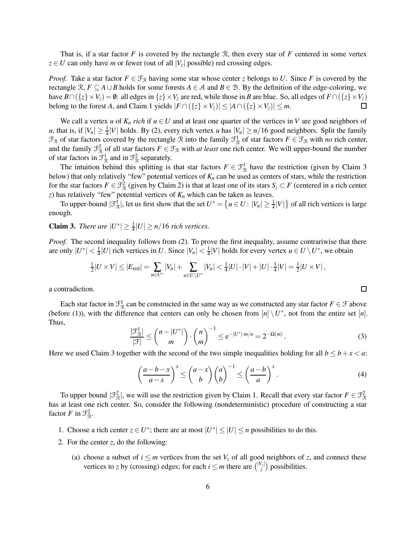That is, if a star factor *F* is covered by the rectangle R, then every star of *F* centered in some vertex  $z \in U$  can only have *m* or fewer (out of all  $|V_z|$  possible) red crossing edges.

*Proof.* Take a star factor  $F \in \mathcal{F}_{\mathcal{R}}$  having some star whose center *z* belongs to *U*. Since *F* is covered by the rectangle  $\mathcal{R}, F \subseteq A \cup B$  holds for some forests  $A \in \mathcal{A}$  and  $B \in \mathcal{B}$ . By the definition of the edge-coloring, we have  $B \cap (\{z\} \times V_z) = \emptyset$ : all edges in  $\{z\} \times V_z$  are red, while those in *B* are blue. So, all edges of  $F \cap (\{z\} \times V_z)$  belong to the forest *A*, and Claim 1 vields  $|F \cap (\{z\} \times V_z)| \le |A \cap (\{z\} \times V_z)| \le m$ . belong to the forest *A*, and Claim 1 yields  $|F \cap (\{z\} \times V_z)| \leq |A \cap (\{z\} \times V_z)| \leq m$ .

We call a vertex *u* of  $K_n$  *rich* if  $u \in U$  and at least one quarter of the vertices in *V* are good neighbors of *u*, that is, if  $|V_u| \geq \frac{1}{4}|V|$  holds. By (2), every rich vertex *u* has  $|V_u| \geq n/16$  good neighbors. Split the family  $\mathcal{F}_{\mathcal{R}}$  of star factors covered by the rectangle  $\mathcal{R}$  into the family  $\mathcal{F}_{\mathcal{R}}^1$  of star factors  $F \in \mathcal{F}_{\mathcal{R}}$  with *no* rich center, and the family  $\mathcal{F}_{\mathcal{R}}^2$  of all star factors  $F \in \mathcal{F}_{\mathcal{R}}$  with *at least* one rich center. We will upper-bound the number of star factors in  $\mathcal{F}_{\mathcal{R}}^1$  and in  $\mathcal{F}_{\mathcal{R}}^2$  separately.

The intuition behind this splitting is that star factors  $F \in \mathcal{F}^1_{\mathcal{R}}$  have the restriction (given by Claim 3 below) that only relatively "few" potential vertices of *K<sup>n</sup>* can be used as centers of stars, while the restriction for the star factors  $F \in \mathcal{F}^2_{\mathcal{R}}$  (given by Claim 2) is that at least one of its stars  $S_z \subset F$  (centered in a rich center *z*) has relatively "few" potential vertices of *K<sup>n</sup>* which can be taken as leaves.

To upper-bound  $|\mathcal{F}_{\mathcal{R}}^1|$ , let us first show that the set  $U^* = \{u \in U : |V_u| \geq \frac{1}{4}|V|\}$  of all rich vertices is large enough.

**Claim 3.** *There are*  $|U^*| \geq \frac{1}{4}|U| \geq n/16$  *rich vertices.* 

*Proof.* The second inequality follows from (2). To prove the first inequality, assume contrariwise that there are only  $|U^*| < \frac{1}{4}|U|$  rich vertices in *U*. Since  $|V_u| < \frac{1}{4}|V|$  holds for every vertex  $u \in U \setminus U^*$ , we obtain

$$
\tfrac{1}{2}|U\times V|\leq |E_{\rm red}|=\sum_{u\in U^*}|V_u|+\sum_{u\in U\setminus U^*}|V_u|<\tfrac{1}{4}|U|\cdot |V|+|U|\cdot\tfrac{1}{4}|V|=\tfrac{1}{2}|U\times V|\,,
$$

a contradiction.

Each star factor in  $\mathcal{F}^1_{\mathcal{R}}$  can be constructed in the same way as we constructed any star factor  $F \in \mathcal{F}$  above (before (1)), with the difference that centers can only be chosen from  $[n] \setminus U^*$ , not from the entire set  $[n]$ . Thus,

$$
\frac{|\mathcal{F}_{\mathcal{R}}^1|}{|\mathcal{F}|} \leq {n-|U^*| \choose m} \cdot {n \choose m}^{-1} \leq e^{-|U^*| \cdot m/n} = 2^{-\Omega(m)}.
$$
\n(3)

 $\Box$ 

Here we used Claim 3 together with the second of the two simple inequalities holding for all  $b \leq b + x < a$ :

$$
\left(\frac{a-b-x}{a-x}\right)^x \le \binom{a-x}{b} \binom{a}{b}^{-1} \le \left(\frac{a-b}{a}\right)^x.
$$
 (4)

To upper bound  $|\mathcal{F}_{\mathcal{R}}^2|$ , we will use the restriction given by Claim 1. Recall that every star factor  $F \in \mathcal{F}_{\mathcal{R}}^2$ has at least one rich center. So, consider the following (nondeterministic) procedure of constructing a star factor *F* in  $\mathcal{F}_{\mathcal{R}}^2$ .

- 1. Choose a rich center  $z \in U^*$ ; there are at most  $|U^*| \leq |U| \leq n$  possibilities to do this.
- 2. For the center *z*, do the following:
	- (a) choose a subset of  $i \le m$  vertices from the set  $V_z$  of all good neighbors of *z*, and connect these vertices to *z* by (crossing) edges; for each  $i \leq m$  there are  $\binom{|V_z|}{i}$  possibilities.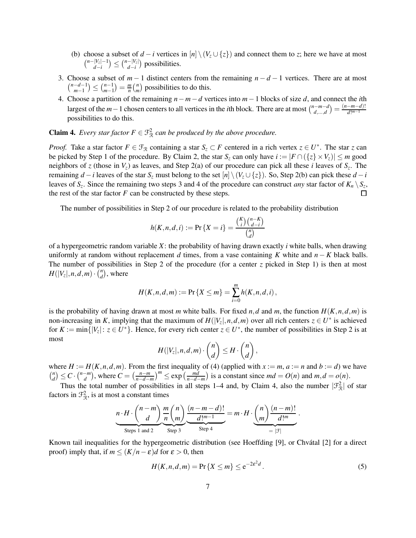- (b) choose a subset of  $d i$  vertices in  $[n] \setminus (V_z \cup \{z\})$  and connect them to *z*; here we have at most  $\binom{n-|V_z|-1}{\cdot}$  $\binom{|V_z| - 1}{d - i} \leq \binom{n - |V_z|}{d - i}$  possibilities.
- 3. Choose a subset of  $m-1$  distinct centers from the remaining  $n-d-1$  vertices. There are at most  $\binom{n-d-1}{m-1}$  $\binom{-d-1}{m-1} \leq \binom{n-1}{m-1}$  $\binom{n-1}{m-1} = \frac{m}{n}$  $\frac{m}{n}$  $\binom{n}{m}$  $\binom{n}{m}$  possibilities to do this.
- 4. Choose a partition of the remaining *n*−*m*−*d* vertices into *m*−1 blocks of size *d*, and connect the *i*th largest of the *m*−1 chosen centers to all vertices in the *i*th block. There are at most  $\binom{n-m-d}{d,\dots,d} = \frac{(n-m-d)!}{d!^{m-1}}$ possibilities to do this.

**Claim 4.** *Every star factor*  $F \in \mathcal{F}^2_{\mathcal{R}}$  *can be produced by the above procedure.* 

*Proof.* Take a star factor  $F \in \mathcal{F}_{\mathcal{R}}$  containing a star  $S_z \subset F$  centered in a rich vertex  $z \in U^*$ . The star *z* can be picked by Step 1 of the procedure. By Claim 2, the star  $S_z$  can only have  $i := |F \cap (\{z\} \times V_z)| \le m$  good neighbors of *z* (those in *Vz*) as leaves, and Step 2(a) of our procedure can pick all these *i* leaves of *S<sup>z</sup>* . The remaining *d* − *i* leaves of the star  $S_z$  must belong to the set  $[n] \setminus (V_z \cup \{z\})$ . So, Step 2(b) can pick these *d* − *i* leaves of  $S_z$ . Since the remaining two steps 3 and 4 of the procedure can construct *any* star factor of  $K_n \setminus S_z$ , the rest of the star factor  $F$  can be constructed by these steps.

The number of possibilities in Step 2 of our procedure is related to the probability distribution

$$
h(K, n, d, i) := \Pr\{X = i\} = \frac{\binom{K}{i}\binom{n-K}{d-i}}{\binom{n}{d}}
$$

of a hypergeometric random variable *X*: the probability of having drawn exactly *i* white balls, when drawing uniformly at random without replacement *d* times, from a vase containing *K* white and *n* − *K* black balls. The number of possibilities in Step 2 of the procedure (for a center *z* picked in Step 1) is then at most  $H(|V_z|, n, d, m) \cdot \overline{\binom{n}{d}}$  $\binom{n}{d}$ , where

$$
H(K, n, d, m) := \Pr\{X \le m\} = \sum_{i=0}^{m} h(K, n, d, i),
$$

is the probability of having drawn at most *m* white balls. For fixed *n*,*d* and *m*, the function  $H(K, n, d, m)$  is non-increasing in *K*, implying that the maximum of  $H(|V_z|, n, d, m)$  over all rich centers  $z \in U^*$  is achieved for  $K := \min\{|V_z|: z \in U^*\}$ . Hence, for every rich center  $z \in U^*$ , the number of possibilities in Step 2 is at most

$$
H(|V_z|, n, d, m) \cdot \binom{n}{d} \leq H \cdot \binom{n}{d},
$$

where  $H := H(K, n, d, m)$ . From the first inequality of (4) (applied with  $x := m$ ,  $a := n$  and  $b := d$ ) we have *n*  $\binom{n}{d}$   $\leq C \cdot \binom{n-m}{d}$ , where  $C = \left(\frac{n-m}{n-d}\right)$  $\left(\frac{n-m}{n-d-m}\right)^m \leq \exp\left(\frac{md}{n-d-m}\right)$  $\frac{md}{n-d-m}$ ) is a constant since  $md = O(n)$  and  $m, d = o(n)$ .

Thus the total number of possibilities in all steps 1–4 and, by Claim 4, also the number  $|\mathcal{F}_{\mathcal{R}}^2|$  of star factors in  $\mathcal{F}_{\mathcal{R}}^2$ , is at most a constant times

$$
\underbrace{n \cdot H \cdot \binom{n-m}{d} \underbrace{\frac{m}{n} \binom{n}{m}}_{\text{Steps 1 and 2}} \underbrace{\frac{(n-m-d)!}{d!^{m-1}}}_{\text{Step 3}} = m \cdot H \cdot \underbrace{\binom{n}{m} \frac{(n-m)!}{d!^{m}}}_{= |\mathcal{F}|}.
$$

Known tail inequalities for the hypergeometric distribution (see Hoeffding [9], or Chvátal [2] for a direct proof) imply that, if  $m \leq (K/n - \varepsilon)d$  for  $\varepsilon > 0$ , then

$$
H(K, n, d, m) = \Pr\{X \le m\} \le e^{-2\varepsilon^2 d}.
$$
 (5)